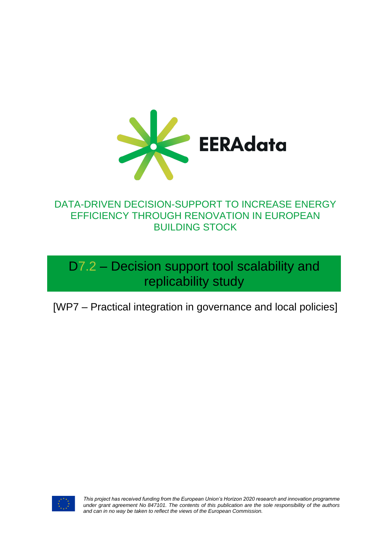

### DATA-DRIVEN DECISION-SUPPORT TO INCREASE ENERGY EFFICIENCY THROUGH RENOVATION IN EUROPEAN BUILDING STOCK

D7.2 – Decision support tool scalability and replicability study

[WP7 – Practical integration in governance and local policies]



*This project has received funding from the European Union's Horizon 2020 research and innovation programme under grant agreement No 847101. The contents of this publication are the sole responsibility of the authors and can in no way be taken to reflect the views of the European Commission.*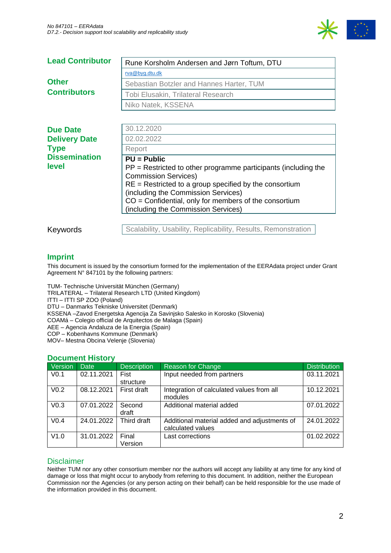

| <b>Lead Contributor</b>                                                   | Rune Korsholm Andersen and Jørn Toftum, DTU                   |  |  |
|---------------------------------------------------------------------------|---------------------------------------------------------------|--|--|
|                                                                           | rva@byg.dtu.dk                                                |  |  |
| <b>Other</b>                                                              | Sebastian Botzler and Hannes Harter, TUM                      |  |  |
| <b>Contributors</b>                                                       | Tobi Elusakin, Trilateral Research                            |  |  |
|                                                                           | Niko Natek, KSSENA                                            |  |  |
|                                                                           |                                                               |  |  |
| <b>Due Date</b>                                                           | 30.12.2020                                                    |  |  |
| <b>Delivery Date</b>                                                      | 02.02.2022                                                    |  |  |
| <b>Type</b>                                                               | Report                                                        |  |  |
| <b>Dissemination</b>                                                      | $PU = Public$                                                 |  |  |
| level<br>$PP =$ Restricted to other programme participants (including the |                                                               |  |  |
|                                                                           | <b>Commission Services)</b>                                   |  |  |
|                                                                           | $RE =$ Restricted to a group specified by the consortium      |  |  |
|                                                                           | (including the Commission Services)                           |  |  |
|                                                                           | $CO =$ Confidential, only for members of the consortium       |  |  |
|                                                                           | (including the Commission Services)                           |  |  |
|                                                                           |                                                               |  |  |
| Keywords                                                                  | Scalability, Usability, Replicability, Results, Remonstration |  |  |

#### **Imprint**

This document is issued by the consortium formed for the implementation of the EERAdata project under Grant Agreement N° 847101 by the following partners:

TUM- Technische Universität München (Germany)

TRILATERAL – Trilateral Research LTD (United Kingdom)

ITTI – ITTI SP ZOO (Poland)

DTU – Danmarks Tekniske Universitet (Denmark)

KSSENA –Zavod Energetska Agencija Za Savinjsko Salesko in Korosko (Slovenia)

COAMá – Colegio official de Arquitectos de Malaga (Spain)

AEE – Agencia Andaluza de la Energia (Spain)

COP – Kobenhavns Kommune (Denmark)

MOV– Mestna Obcina Velenje (Slovenia)

#### **Document History**

| Version          | <b>Date</b> | <b>Description</b> | <b>Reason for Change</b>                                          | <b>Distribution</b> |
|------------------|-------------|--------------------|-------------------------------------------------------------------|---------------------|
| V <sub>0.1</sub> | 02.11.2021  | Fist<br>structure  | Input needed from partners                                        | 03.11.2021          |
| V <sub>0.2</sub> | 08.12.2021  | First draft        | Integration of calculated values from all<br>modules              | 10.12.2021          |
| V <sub>0.3</sub> | 07.01.2022  | Second<br>draft    | Additional material added                                         | 07.01.2022          |
| V <sub>0.4</sub> | 24.01.2022  | Third draft        | Additional material added and adjustments of<br>calculated values | 24.01.2022          |
| V1.0             | 31.01.2022  | Final<br>Version   | Last corrections                                                  | 01.02.2022          |

#### Disclaimer

Neither TUM nor any other consortium member nor the authors will accept any liability at any time for any kind of damage or loss that might occur to anybody from referring to this document. In addition, neither the European Commission nor the Agencies (or any person acting on their behalf) can be held responsible for the use made of the information provided in this document.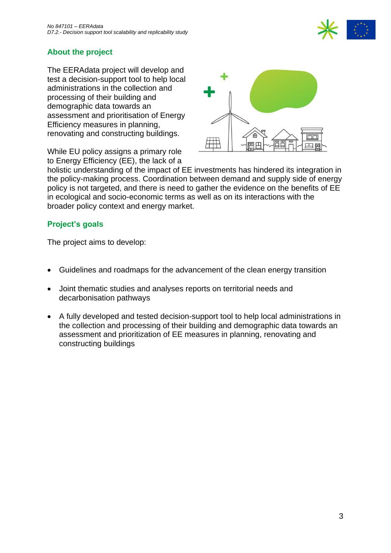

### **About the project**

The EERAdata project will develop and test a decision-support tool to help local administrations in the collection and processing of their building and demographic data towards an assessment and prioritisation of Energy Efficiency measures in planning, renovating and constructing buildings.

While EU policy assigns a primary role to Energy Efficiency (EE), the lack of a



holistic understanding of the impact of EE investments has hindered its integration in the policy-making process. Coordination between demand and supply side of energy policy is not targeted, and there is need to gather the evidence on the benefits of EE in ecological and socio-economic terms as well as on its interactions with the broader policy context and energy market.

#### **Project's goals**

The project aims to develop:

- Guidelines and roadmaps for the advancement of the clean energy transition
- Joint thematic studies and analyses reports on territorial needs and decarbonisation pathways
- A fully developed and tested decision-support tool to help local administrations in the collection and processing of their building and demographic data towards an assessment and prioritization of EE measures in planning, renovating and constructing buildings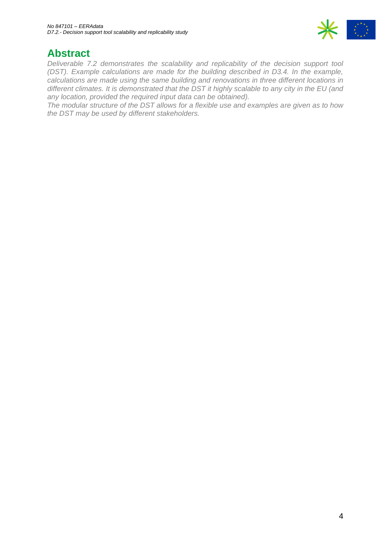

## **Abstract**

*Deliverable 7.2 demonstrates the scalability and replicability of the decision support tool (DST). Example calculations are made for the building described in D3.4. In the example, calculations are made using the same building and renovations in three different locations in different climates. It is demonstrated that the DST it highly scalable to any city in the EU (and any location, provided the required input data can be obtained).* 

*The modular structure of the DST allows for a flexible use and examples are given as to how the DST may be used by different stakeholders.*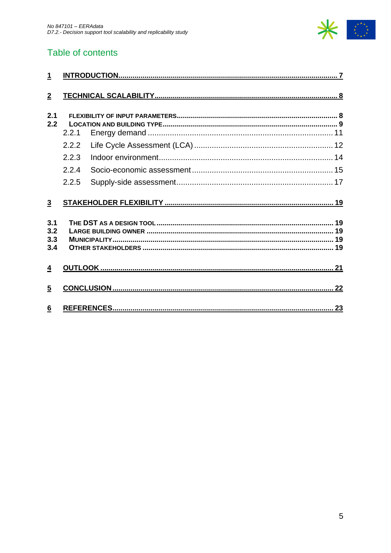

## Table of contents

| $\mathbf{1}$   |       |  |
|----------------|-------|--|
| $\overline{2}$ |       |  |
| 2.1<br>2.2     | 2.2.1 |  |
|                | 2.2.2 |  |
|                | 2.2.3 |  |
|                | 2.2.4 |  |
|                | 2.2.5 |  |
| $\overline{3}$ |       |  |
| 3.1            |       |  |
| 3.2<br>3.3     |       |  |
| 3.4            |       |  |
| $\overline{4}$ |       |  |
| $\overline{5}$ |       |  |
| 6              |       |  |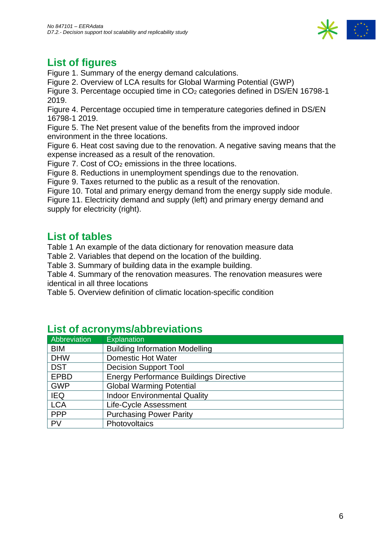

# **List of figures**

[Figure 1. Summary of the energy demand calculations.](#page-11-1)

[Figure 2. Overview of LCA results for Global Warming Potential \(GWP\)](#page-12-0)

[Figure 3. Percentage occupied time in CO](#page-13-1)<sub>2</sub> categories defined in DS/EN 16798-1 [2019.](#page-13-1)

[Figure 4. Percentage occupied time in temperature categories defined in DS/EN](#page-14-1)  [16798-1 2019.](#page-14-1)

[Figure 5. The Net present value of the benefits from the improved indoor](#page-14-2)  [environment in the three locations.](#page-14-2)

[Figure 6. Heat cost saving due to the renovation. A negative saving means that the](#page-15-0)  [expense increased as a result of the renovation.](#page-15-0)

Figure 7. Cost of CO<sup>2</sup> [emissions in the three locations.](#page-15-1)

[Figure 8. Reductions in unemployment spendings due to the renovation.](#page-16-1)

[Figure 9. Taxes returned to the public as a result of the renovation.](#page-16-2)

[Figure 10. Total and primary energy demand from the energy supply side module.](#page-17-0)

[Figure 11. Electricity demand and supply \(left\) and primary energy demand and](#page-17-1)  [supply for electricity \(right\).](#page-17-1)

## **List of tables**

[Table 1 An example of the data dictionary for renovation measure data](#page-7-2)

[Table 2. Variables that depend on the location of the building.](#page-8-1)

[Table 3. Summary of building](#page-9-0) data in the example building.

[Table 4. Summary of the renovation measures. The renovation measures were](#page-9-1)  [identical in all three locations](#page-9-1)

[Table 5. Overview definition of climatic location-specific condition](#page-10-1)

| Abbreviation | <b>Explanation</b>                            |
|--------------|-----------------------------------------------|
| <b>BIM</b>   | <b>Building Information Modelling</b>         |
| <b>DHW</b>   | <b>Domestic Hot Water</b>                     |
| <b>DST</b>   | <b>Decision Support Tool</b>                  |
| <b>EPBD</b>  | <b>Energy Performance Buildings Directive</b> |
| <b>GWP</b>   | <b>Global Warming Potential</b>               |
| <b>IEQ</b>   | <b>Indoor Environmental Quality</b>           |
| <b>LCA</b>   | Life-Cycle Assessment                         |
| <b>PPP</b>   | <b>Purchasing Power Parity</b>                |
| <b>PV</b>    | Photovoltaics                                 |

### **List of acronyms/abbreviations**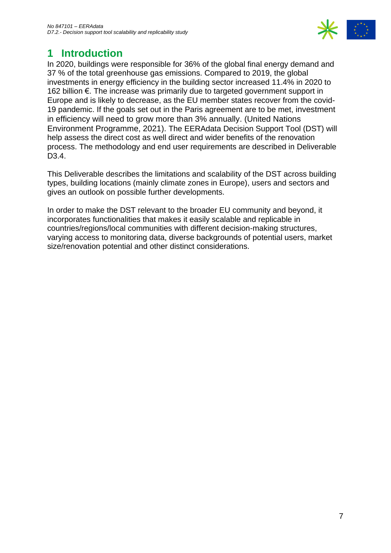

## <span id="page-6-0"></span>**1 Introduction**

In 2020, buildings were responsible for 36% of the global final energy demand and 37 % of the total greenhouse gas emissions. Compared to 2019, the global investments in energy efficiency in the building sector increased 11.4% in 2020 to 162 billion €. The increase was primarily due to targeted government support in Europe and is likely to decrease, as the EU member states recover from the covid-19 pandemic. If the goals set out in the Paris agreement are to be met, investment in efficiency will need to grow more than 3% annually. (United Nations Environment Programme, 2021). The EERAdata Decision Support Tool (DST) will help assess the direct cost as well direct and wider benefits of the renovation process. The methodology and end user requirements are described in Deliverable D<sub>3</sub>.4.

This Deliverable describes the limitations and scalability of the DST across building types, building locations (mainly climate zones in Europe), users and sectors and gives an outlook on possible further developments.

In order to make the DST relevant to the broader EU community and beyond, it incorporates functionalities that makes it easily scalable and replicable in countries/regions/local communities with different decision-making structures, varying access to monitoring data, diverse backgrounds of potential users, market size/renovation potential and other distinct considerations.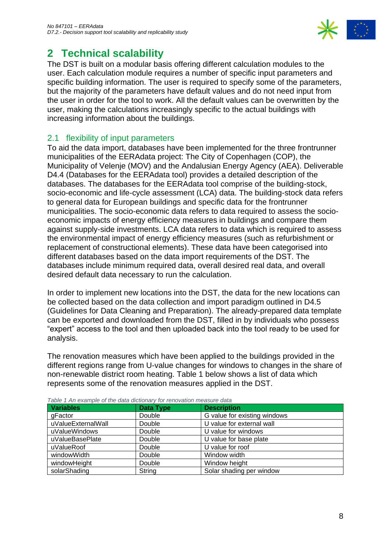

## <span id="page-7-0"></span>**2 Technical scalability**

The DST is built on a modular basis offering different calculation modules to the user. Each calculation module requires a number of specific input parameters and specific building information. The user is required to specify some of the parameters, but the majority of the parameters have default values and do not need input from the user in order for the tool to work. All the default values can be overwritten by the user, making the calculations increasingly specific to the actual buildings with increasing information about the buildings.

### <span id="page-7-1"></span>2.1 flexibility of input parameters

To aid the data import, databases have been implemented for the three frontrunner municipalities of the EERAdata project: The City of Copenhagen (COP), the Municipality of Velenje (MOV) and the Andalusian Energy Agency (AEA). Deliverable D4.4 (Databases for the EERAdata tool) provides a detailed description of the databases. The databases for the EERAdata tool comprise of the building-stock, socio-economic and life-cycle assessment (LCA) data. The building-stock data refers to general data for European buildings and specific data for the frontrunner municipalities. The socio-economic data refers to data required to assess the socioeconomic impacts of energy efficiency measures in buildings and compare them against supply-side investments. LCA data refers to data which is required to assess the environmental impact of energy efficiency measures (such as refurbishment or replacement of constructional elements). These data have been categorised into different databases based on the data import requirements of the DST. The databases include minimum required data, overall desired real data, and overall desired default data necessary to run the calculation.

In order to implement new locations into the DST, the data for the new locations can be collected based on the data collection and import paradigm outlined in D4.5 (Guidelines for Data Cleaning and Preparation). The already-prepared data template can be exported and downloaded from the DST, filled in by individuals who possess "expert" access to the tool and then uploaded back into the tool ready to be used for analysis.

The renovation measures which have been applied to the buildings provided in the different regions range from U-value changes for windows to changes in the share of non-renewable district room heating. Table 1 below shows a list of data which represents some of the renovation measures applied in the DST.

| Table T An example of the data dictionary for renovation measure data. |                  |                              |  |
|------------------------------------------------------------------------|------------------|------------------------------|--|
| <b>Variables</b>                                                       | <b>Data Type</b> | <b>Description</b>           |  |
| gFactor                                                                | Double           | G value for existing windows |  |
| uValueExternalWall                                                     | Double           | U value for external wall    |  |
| uValueWindows                                                          | Double           | U value for windows          |  |
| uValueBasePlate                                                        | Double           | U value for base plate       |  |
| uValueRoof                                                             | Double           | U value for roof             |  |
| windowWidth                                                            | Double           | Window width                 |  |
| windowHeight                                                           | Double           | Window height                |  |
| solarShading                                                           | String           | Solar shading per window     |  |

<span id="page-7-2"></span>*Table 1 An example of the data dictionary for renovation measure data*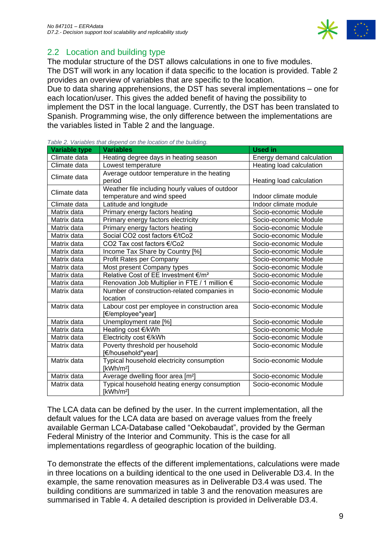

### <span id="page-8-0"></span>2.2 Location and building type

The modular structure of the DST allows calculations in one to five modules. The DST will work in any location if data specific to the location is provided. Table 2 provides an overview of variables that are specific to the location.

Due to data sharing apprehensions, the DST has several implementations – one for each location/user. This gives the added benefit of having the possibility to implement the DST in the local language. Currently, the DST has been translated to Spanish. Programming wise, the only difference between the implementations are the variables listed in Table 2 and the language.

| <b>Variable type</b> | <b>Variables</b>                                                      | <b>Used in</b>                  |
|----------------------|-----------------------------------------------------------------------|---------------------------------|
| Climate data         | Heating degree days in heating season                                 | Energy demand calculation       |
| Climate data         | Lowest temperature                                                    | <b>Heating load calculation</b> |
| Climate data         | Average outdoor temperature in the heating<br>period                  | Heating load calculation        |
|                      | Weather file including hourly values of outdoor                       |                                 |
| Climate data         | temperature and wind speed                                            | Indoor climate module           |
| Climate data         | Latitude and longitude                                                | Indoor climate module           |
| Matrix data          | Primary energy factors heating                                        | Socio-economic Module           |
| Matrix data          | Primary energy factors electricity                                    | Socio-economic Module           |
| Matrix data          | Primary energy factors heating                                        | Socio-economic Module           |
| Matrix data          | Social CO2 cost factors €/tCo2                                        | Socio-economic Module           |
| Matrix data          | CO2 Tax cost factors €/Co2                                            | Socio-economic Module           |
| Matrix data          | Income Tax Share by Country [%]                                       | Socio-economic Module           |
| Matrix data          | Profit Rates per Company                                              | Socio-economic Module           |
| Matrix data          | Most present Company types                                            | Socio-economic Module           |
| Matrix data          | Relative Cost of EE Investment €/m <sup>2</sup>                       | Socio-economic Module           |
| Matrix data          | Renovation Job Multiplier in FTE / 1 million €                        | Socio-economic Module           |
| Matrix data          | Number of construction-related companies in<br>location               | Socio-economic Module           |
| Matrix data          | Labour cost per employee in construction area<br>[€/employee*year]    | Socio-economic Module           |
| Matrix data          | Unemployment rate [%]                                                 | Socio-economic Module           |
| Matrix data          | Heating cost €/kWh                                                    | Socio-economic Module           |
| Matrix data          | Electricity cost €/kWh                                                | Socio-economic Module           |
| Matrix data          | Poverty threshold per household<br>[€/household*year]                 | Socio-economic Module           |
| Matrix data          | Typical household electricity consumption<br>[kWh/m <sup>2</sup> ]    | Socio-economic Module           |
| Matrix data          | Average dwelling floor area [m <sup>2</sup> ]                         | Socio-economic Module           |
| Matrix data          | Typical household heating energy consumption<br>[kWh/m <sup>2</sup> ] | Socio-economic Module           |

<span id="page-8-1"></span>*Table 2. Variables that depend on the location of the building.*

The LCA data can be defined by the user. In the current implementation, all the default values for the LCA data are based on average values from the freely available German LCA-Database called "Oekobaudat", provided by the German Federal Ministry of the Interior and Community. This is the case for all implementations regardless of geographic location of the building.

To demonstrate the effects of the different implementations, calculations were made in three locations on a building identical to the one used in Deliverable D3.4. In the example, the same renovation measures as in Deliverable D3.4 was used. The building conditions are summarized in table 3 and the renovation measures are summarised in Table 4. A detailed description is provided in Deliverable D3.4.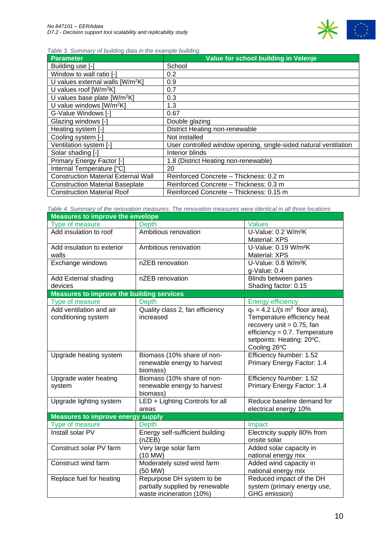

<span id="page-9-0"></span>*Table 3. Summary of building data in the example building.* 

| <b>Parameter</b>                             | Value for school building in Velenje                             |
|----------------------------------------------|------------------------------------------------------------------|
| Building use [-]                             | School                                                           |
| Window to wall ratio [-]                     | 0.2                                                              |
| U values external walls [W/m <sup>2</sup> K] | 0.9                                                              |
| U values roof $[W/m^2K]$                     | 0.7                                                              |
| U values base plate $[W/m^2K]$               | 0.3                                                              |
| U value windows [W/m <sup>2</sup> K]         | 1.3                                                              |
| G-Value Windows [-]                          | 0.67                                                             |
| Glazing windows [-]                          | Double glazing                                                   |
| Heating system [-]                           | District Heating non-renewable                                   |
| Cooling system [-]                           | Not installed                                                    |
| Ventilation system [-]                       | User controlled window opening, single-sided natural ventilation |
| Solar shading [-]                            | Interior blinds                                                  |
| Primary Energy Factor [-]                    | 1.8 (District Heating non-renewable)                             |
| Internal Temperature [°C]                    | 20                                                               |
| <b>Construction Material External Wall</b>   | Reinforced Concrete - Thickness: 0.2 m                           |
| <b>Construction Material Baseplate</b>       | Reinforced Concrete - Thickness: 0.3 m                           |
| <b>Construction Material Roof</b>            | Reinforced Concrete - Thickness: 0.15 m                          |

<span id="page-9-1"></span>*Table 4. Summary of the renovation measures. The renovation measures were identical in all three locations*

| <b>Measures to improve the envelope</b>          |                                 |                                              |  |
|--------------------------------------------------|---------------------------------|----------------------------------------------|--|
| Type of measure                                  | <b>Depth</b>                    | <b>Values</b>                                |  |
| Add insulation to roof                           | Ambitious renovation            | U-Value: 0.2 W/m <sup>2</sup> K              |  |
|                                                  |                                 | <b>Material: XPS</b>                         |  |
| Add insulation to exterior                       | Ambitious renovation            | U-Value: 0.19 W/m <sup>2</sup> K             |  |
| walls                                            |                                 | Material: XPS                                |  |
| Exchange windows                                 | nZEB renovation                 | U-Value: 0.8 W/m <sup>2</sup> K              |  |
|                                                  |                                 | g-Value: 0.4                                 |  |
| Add External shading                             | nZEB renovation                 | Blinds between panes                         |  |
| devices                                          |                                 | Shading factor: 0.15                         |  |
| <b>Measures to improve the building services</b> |                                 |                                              |  |
| <b>Type of measure</b>                           | <b>Depth</b>                    | <b>Energy efficiency</b>                     |  |
| Add ventilation and air                          | Quality class 2, fan efficiency | $q_v = 4.2$ L/(s m <sup>2</sup> floor area), |  |
| conditioning system                              | increased                       | Temperature efficiency heat                  |  |
|                                                  |                                 | recovery unit $= 0.75$ , fan                 |  |
|                                                  |                                 | $efficiency = 0.7$ . Temperature             |  |
|                                                  |                                 | setpoints: Heating: 20°C,                    |  |
|                                                  |                                 | Cooling 26°C                                 |  |
| Upgrade heating system                           | Biomass (10% share of non-      | Efficiency Number: 1.52                      |  |
|                                                  | renewable energy to harvest     | Primary Energy Factor: 1.4                   |  |
|                                                  | biomass)                        |                                              |  |
| Upgrade water heating                            | Biomass (10% share of non-      | Efficiency Number: 1.52                      |  |
| system                                           | renewable energy to harvest     | Primary Energy Factor: 1.4                   |  |
|                                                  | biomass)                        |                                              |  |
| Upgrade lighting system                          | LED + Lighting Controls for all | Reduce baseline demand for                   |  |
|                                                  | areas                           | electrical energy 10%                        |  |
| <b>Measures to improve energy supply</b>         |                                 |                                              |  |
| Type of measure                                  | <b>Depth</b>                    | Impact                                       |  |
| Install solar PV                                 | Energy self-sufficient building | Electricity supply 80% from                  |  |
|                                                  | (nZEB)                          | onsite solar                                 |  |
| Construct solar PV farm                          | Very large solar farm           | Added solar capacity in                      |  |
|                                                  | (10 MW)                         | national energy mix                          |  |
| Construct wind farm                              | Moderately sized wind farm      | Added wind capacity in                       |  |
|                                                  | (50 MW)                         | national energy mix                          |  |
| Replace fuel for heating                         | Repurpose DH system to be       | Reduced impact of the DH                     |  |
|                                                  | partially supplied by renewable | system (primary energy use,                  |  |
|                                                  | waste incineration (10%)        | GHG emission)                                |  |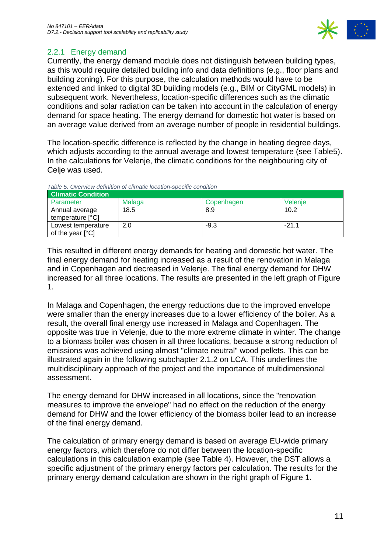

### <span id="page-10-0"></span>2.2.1 Energy demand

Currently, the energy demand module does not distinguish between building types, as this would require detailed building info and data definitions (e.g., floor plans and building zoning). For this purpose, the calculation methods would have to be extended and linked to digital 3D building models (e.g., BIM or CityGML models) in subsequent work. Nevertheless, location-specific differences such as the climatic conditions and solar radiation can be taken into account in the calculation of energy demand for space heating. The energy demand for domestic hot water is based on an average value derived from an average number of people in residential buildings.

The location-specific difference is reflected by the change in heating degree days, which adjusts according to the annual average and lowest temperature (see Table5). In the calculations for Velenje, the climatic conditions for the neighbouring city of Celie was used.

| <b>Climatic Condition</b>                       |        |            |         |
|-------------------------------------------------|--------|------------|---------|
| Parameter                                       | Malaga | Copenhagen | Velenie |
| Annual average<br>temperature [°C]              | 18.5   | 8.9        | 10.2    |
| Lowest temperature<br>of the year $[^{\circ}C]$ | 2.0    | $-9.3$     | $-21.1$ |

<span id="page-10-1"></span>*Table 5. Overview definition of climatic location-specific condition*

This resulted in different energy demands for heating and domestic hot water. The final energy demand for heating increased as a result of the renovation in Malaga and in Copenhagen and decreased in Velenje. The final energy demand for DHW increased for all three locations. The results are presented in the left graph of Figure 1.

In Malaga and Copenhagen, the energy reductions due to the improved envelope were smaller than the energy increases due to a lower efficiency of the boiler. As a result, the overall final energy use increased in Malaga and Copenhagen. The opposite was true in Velenje, due to the more extreme climate in winter. The change to a biomass boiler was chosen in all three locations, because a strong reduction of emissions was achieved using almost "climate neutral" wood pellets. This can be illustrated again in the following subchapter 2.1.2 on LCA. This underlines the multidisciplinary approach of the project and the importance of multidimensional assessment.

The energy demand for DHW increased in all locations, since the "renovation measures to improve the envelope" had no effect on the reduction of the energy demand for DHW and the lower efficiency of the biomass boiler lead to an increase of the final energy demand.

The calculation of primary energy demand is based on average EU-wide primary energy factors, which therefore do not differ between the location-specific calculations in this calculation example (see Table 4). However, the DST allows a specific adjustment of the primary energy factors per calculation. The results for the primary energy demand calculation are shown in the right graph of Figure 1.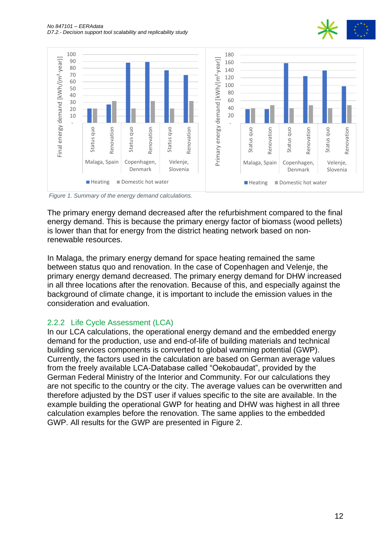



<span id="page-11-1"></span>*Figure 1. Summary of the energy demand calculations.* 

The primary energy demand decreased after the refurbishment compared to the final energy demand. This is because the primary energy factor of biomass (wood pellets) is lower than that for energy from the district heating network based on nonrenewable resources.

In Malaga, the primary energy demand for space heating remained the same between status quo and renovation. In the case of Copenhagen and Velenje, the primary energy demand decreased. The primary energy demand for DHW increased in all three locations after the renovation. Because of this, and especially against the background of climate change, it is important to include the emission values in the consideration and evaluation.

#### <span id="page-11-0"></span>2.2.2 Life Cycle Assessment (LCA)

In our LCA calculations, the operational energy demand and the embedded energy demand for the production, use and end-of-life of building materials and technical building services components is converted to global warming potential (GWP). Currently, the factors used in the calculation are based on German average values from the freely available LCA-Database called "Oekobaudat", provided by the German Federal Ministry of the Interior and Community. For our calculations they are not specific to the country or the city. The average values can be overwritten and therefore adjusted by the DST user if values specific to the site are available. In the example building the operational GWP for heating and DHW was highest in all three calculation examples before the renovation. The same applies to the embedded GWP. All results for the GWP are presented in Figure 2.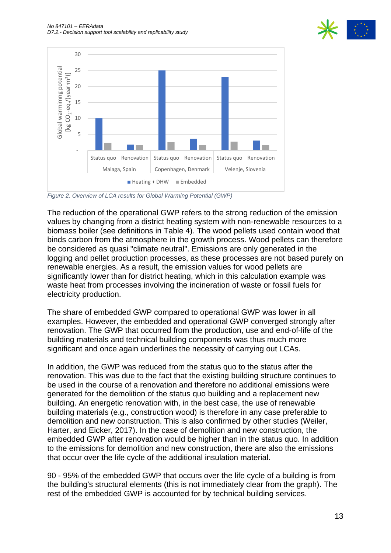



<span id="page-12-0"></span>*Figure 2. Overview of LCA results for Global Warming Potential (GWP)*

The reduction of the operational GWP refers to the strong reduction of the emission values by changing from a district heating system with non-renewable resources to a biomass boiler (see definitions in Table 4). The wood pellets used contain wood that binds carbon from the atmosphere in the growth process. Wood pellets can therefore be considered as quasi "climate neutral". Emissions are only generated in the logging and pellet production processes, as these processes are not based purely on renewable energies. As a result, the emission values for wood pellets are significantly lower than for district heating, which in this calculation example was waste heat from processes involving the incineration of waste or fossil fuels for electricity production.

The share of embedded GWP compared to operational GWP was lower in all examples. However, the embedded and operational GWP converged strongly after renovation. The GWP that occurred from the production, use and end-of-life of the building materials and technical building components was thus much more significant and once again underlines the necessity of carrying out LCAs.

In addition, the GWP was reduced from the status quo to the status after the renovation. This was due to the fact that the existing building structure continues to be used in the course of a renovation and therefore no additional emissions were generated for the demolition of the status quo building and a replacement new building. An energetic renovation with, in the best case, the use of renewable building materials (e.g., construction wood) is therefore in any case preferable to demolition and new construction. This is also confirmed by other studies (Weiler, Harter, and Eicker, 2017). In the case of demolition and new construction, the embedded GWP after renovation would be higher than in the status quo. In addition to the emissions for demolition and new construction, there are also the emissions that occur over the life cycle of the additional insulation material.

90 - 95% of the embedded GWP that occurs over the life cycle of a building is from the building's structural elements (this is not immediately clear from the graph). The rest of the embedded GWP is accounted for by technical building services.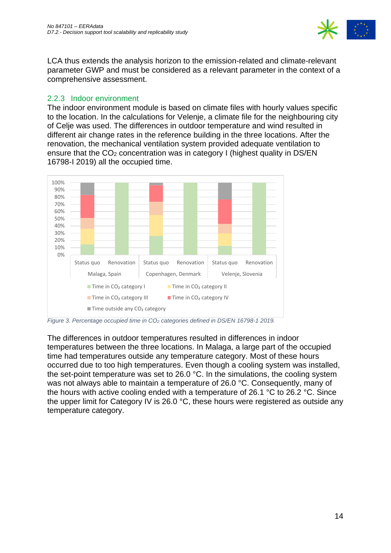

LCA thus extends the analysis horizon to the emission-related and climate-relevant parameter GWP and must be considered as a relevant parameter in the context of a comprehensive assessment.

#### <span id="page-13-0"></span>2.2.3 Indoor environment

The indoor environment module is based on climate files with hourly values specific to the location. In the calculations for Velenje, a climate file for the neighbouring city of Celje was used. The differences in outdoor temperature and wind resulted in different air change rates in the reference building in the three locations. After the renovation, the mechanical ventilation system provided adequate ventilation to ensure that the CO<sub>2</sub> concentration was in category I (highest quality in DS/EN 16798-I 2019) all the occupied time.



<span id="page-13-1"></span>*Figure 3. Percentage occupied time in CO<sup>2</sup> categories defined in DS/EN 16798-1 2019.*

The differences in outdoor temperatures resulted in differences in indoor temperatures between the three locations. In Malaga, a large part of the occupied time had temperatures outside any temperature category. Most of these hours occurred due to too high temperatures. Even though a cooling system was installed, the set-point temperature was set to 26.0 °C. In the simulations, the cooling system was not always able to maintain a temperature of 26.0 °C. Consequently, many of the hours with active cooling ended with a temperature of 26.1 °C to 26.2 °C. Since the upper limit for Category IV is 26.0 °C, these hours were registered as outside any temperature category.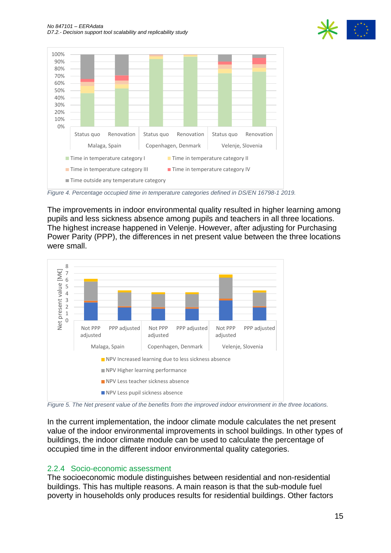



<span id="page-14-1"></span>*Figure 4. Percentage occupied time in temperature categories defined in DS/EN 16798-1 2019.*

The improvements in indoor environmental quality resulted in higher learning among pupils and less sickness absence among pupils and teachers in all three locations. The highest increase happened in Velenje. However, after adjusting for Purchasing Power Parity (PPP), the differences in net present value between the three locations were small.



<span id="page-14-2"></span>*Figure 5. The Net present value of the benefits from the improved indoor environment in the three locations.* 

In the current implementation, the indoor climate module calculates the net present value of the indoor environmental improvements in school buildings. In other types of buildings, the indoor climate module can be used to calculate the percentage of occupied time in the different indoor environmental quality categories.

#### <span id="page-14-0"></span>2.2.4 Socio-economic assessment

The socioeconomic module distinguishes between residential and non-residential buildings. This has multiple reasons. A main reason is that the sub-module fuel poverty in households only produces results for residential buildings. Other factors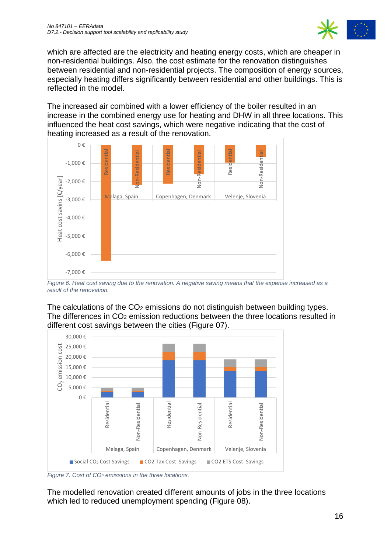

which are affected are the electricity and heating energy costs, which are cheaper in non-residential buildings. Also, the cost estimate for the renovation distinguishes between residential and non-residential projects. The composition of energy sources, especially heating differs significantly between residential and other buildings. This is reflected in the model.

The increased air combined with a lower efficiency of the boiler resulted in an increase in the combined energy use for heating and DHW in all three locations. This influenced the heat cost savings, which were negative indicating that the cost of heating increased as a result of the renovation.



<span id="page-15-0"></span>*Figure 6. Heat cost saving due to the renovation. A negative saving means that the expense increased as a result of the renovation.* 

The calculations of the  $CO<sub>2</sub>$  emissions do not distinguish between building types. The differences in  $CO<sub>2</sub>$  emission reductions between the three locations resulted in different cost savings between the cities (Figure 07).



<span id="page-15-1"></span>*Figure 7. Cost of CO<sup>2</sup> emissions in the three locations.* 

The modelled renovation created different amounts of jobs in the three locations which led to reduced unemployment spending (Figure 08).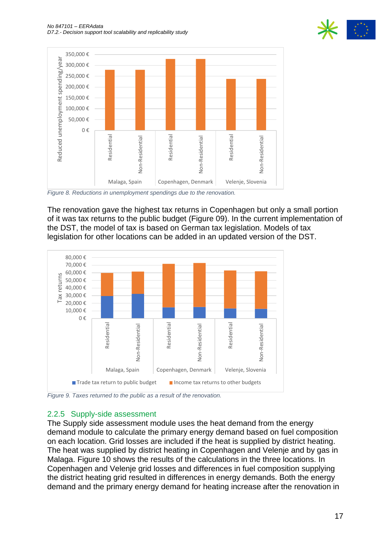



<span id="page-16-1"></span>*Figure 8. Reductions in unemployment spendings due to the renovation.*

The renovation gave the highest tax returns in Copenhagen but only a small portion of it was tax returns to the public budget (Figure 09). In the current implementation of the DST, the model of tax is based on German tax legislation. Models of tax legislation for other locations can be added in an updated version of the DST.



<span id="page-16-2"></span>*Figure 9. Taxes returned to the public as a result of the renovation.*

#### <span id="page-16-0"></span>2.2.5 Supply-side assessment

The Supply side assessment module uses the heat demand from the energy demand module to calculate the primary energy demand based on fuel composition on each location. Grid losses are included if the heat is supplied by district heating. The heat was supplied by district heating in Copenhagen and Velenje and by gas in Malaga. Figure 10 shows the results of the calculations in the three locations. In Copenhagen and Velenje grid losses and differences in fuel composition supplying the district heating grid resulted in differences in energy demands. Both the energy demand and the primary energy demand for heating increase after the renovation in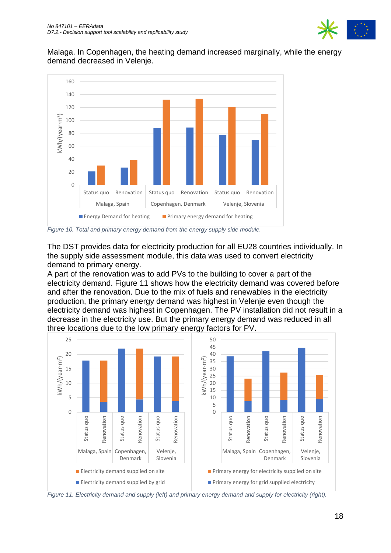

Malaga. In Copenhagen, the heating demand increased marginally, while the energy demand decreased in Velenje.



<span id="page-17-0"></span>*Figure 10. Total and primary energy demand from the energy supply side module.* 

The DST provides data for electricity production for all EU28 countries individually. In the supply side assessment module, this data was used to convert electricity demand to primary energy.

A part of the renovation was to add PVs to the building to cover a part of the electricity demand. Figure 11 shows how the electricity demand was covered before and after the renovation. Due to the mix of fuels and renewables in the electricity production, the primary energy demand was highest in Velenje even though the electricity demand was highest in Copenhagen. The PV installation did not result in a decrease in the electricity use. But the primary energy demand was reduced in all three locations due to the low primary energy factors for PV.



<span id="page-17-1"></span>*Figure 11. Electricity demand and supply (left) and primary energy demand and supply for electricity (right).*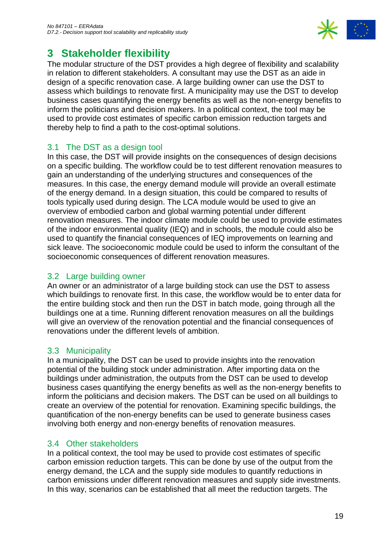

## <span id="page-18-0"></span>**3 Stakeholder flexibility**

The modular structure of the DST provides a high degree of flexibility and scalability in relation to different stakeholders. A consultant may use the DST as an aide in design of a specific renovation case. A large building owner can use the DST to assess which buildings to renovate first. A municipality may use the DST to develop business cases quantifying the energy benefits as well as the non-energy benefits to inform the politicians and decision makers. In a political context, the tool may be used to provide cost estimates of specific carbon emission reduction targets and thereby help to find a path to the cost-optimal solutions.

### <span id="page-18-1"></span>3.1 The DST as a design tool

In this case, the DST will provide insights on the consequences of design decisions on a specific building. The workflow could be to test different renovation measures to gain an understanding of the underlying structures and consequences of the measures. In this case, the energy demand module will provide an overall estimate of the energy demand. In a design situation, this could be compared to results of tools typically used during design. The LCA module would be used to give an overview of embodied carbon and global warming potential under different renovation measures. The indoor climate module could be used to provide estimates of the indoor environmental quality (IEQ) and in schools, the module could also be used to quantify the financial consequences of IEQ improvements on learning and sick leave. The socioeconomic module could be used to inform the consultant of the socioeconomic consequences of different renovation measures.

### <span id="page-18-2"></span>3.2 Large building owner

An owner or an administrator of a large building stock can use the DST to assess which buildings to renovate first. In this case, the workflow would be to enter data for the entire building stock and then run the DST in batch mode, going through all the buildings one at a time. Running different renovation measures on all the buildings will give an overview of the renovation potential and the financial consequences of renovations under the different levels of ambition.

### <span id="page-18-3"></span>3.3 Municipality

In a municipality, the DST can be used to provide insights into the renovation potential of the building stock under administration. After importing data on the buildings under administration, the outputs from the DST can be used to develop business cases quantifying the energy benefits as well as the non-energy benefits to inform the politicians and decision makers. The DST can be used on all buildings to create an overview of the potential for renovation. Examining specific buildings, the quantification of the non-energy benefits can be used to generate business cases involving both energy and non-energy benefits of renovation measures.

#### <span id="page-18-4"></span>3.4 Other stakeholders

In a political context, the tool may be used to provide cost estimates of specific carbon emission reduction targets. This can be done by use of the output from the energy demand, the LCA and the supply side modules to quantify reductions in carbon emissions under different renovation measures and supply side investments. In this way, scenarios can be established that all meet the reduction targets. The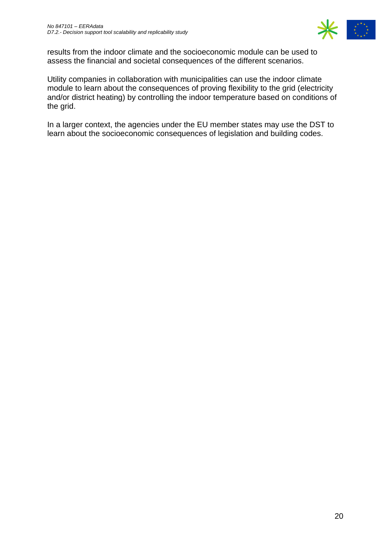

results from the indoor climate and the socioeconomic module can be used to assess the financial and societal consequences of the different scenarios.

Utility companies in collaboration with municipalities can use the indoor climate module to learn about the consequences of proving flexibility to the grid (electricity and/or district heating) by controlling the indoor temperature based on conditions of the grid.

In a larger context, the agencies under the EU member states may use the DST to learn about the socioeconomic consequences of legislation and building codes.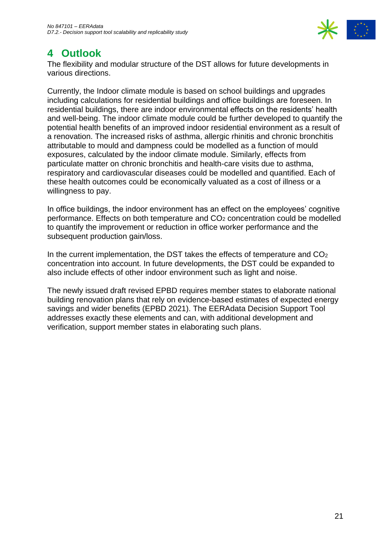

## <span id="page-20-0"></span>**4 Outlook**

The flexibility and modular structure of the DST allows for future developments in various directions.

Currently, the Indoor climate module is based on school buildings and upgrades including calculations for residential buildings and office buildings are foreseen. In residential buildings, there are indoor environmental effects on the residents' health and well-being. The indoor climate module could be further developed to quantify the potential health benefits of an improved indoor residential environment as a result of a renovation. The increased risks of asthma, allergic rhinitis and chronic bronchitis attributable to mould and dampness could be modelled as a function of mould exposures, calculated by the indoor climate module. Similarly, effects from particulate matter on chronic bronchitis and health-care visits due to asthma, respiratory and cardiovascular diseases could be modelled and quantified. Each of these health outcomes could be economically valuated as a cost of illness or a willingness to pay.

In office buildings, the indoor environment has an effect on the employees' cognitive performance. Effects on both temperature and CO<sup>2</sup> concentration could be modelled to quantify the improvement or reduction in office worker performance and the subsequent production gain/loss.

In the current implementation, the DST takes the effects of temperature and  $CO<sub>2</sub>$ concentration into account. In future developments, the DST could be expanded to also include effects of other indoor environment such as light and noise.

The newly issued draft revised EPBD requires member states to elaborate national building renovation plans that rely on evidence-based estimates of expected energy savings and wider benefits (EPBD 2021). The EERAdata Decision Support Tool addresses exactly these elements and can, with additional development and verification, support member states in elaborating such plans.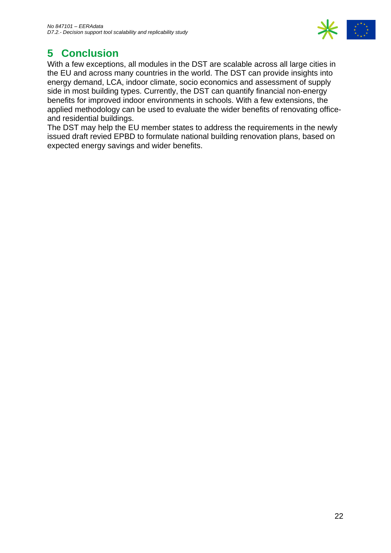

# <span id="page-21-0"></span>**5 Conclusion**

With a few exceptions, all modules in the DST are scalable across all large cities in the EU and across many countries in the world. The DST can provide insights into energy demand, LCA, indoor climate, socio economics and assessment of supply side in most building types. Currently, the DST can quantify financial non-energy benefits for improved indoor environments in schools. With a few extensions, the applied methodology can be used to evaluate the wider benefits of renovating officeand residential buildings.

The DST may help the EU member states to address the requirements in the newly issued draft revied EPBD to formulate national building renovation plans, based on expected energy savings and wider benefits.